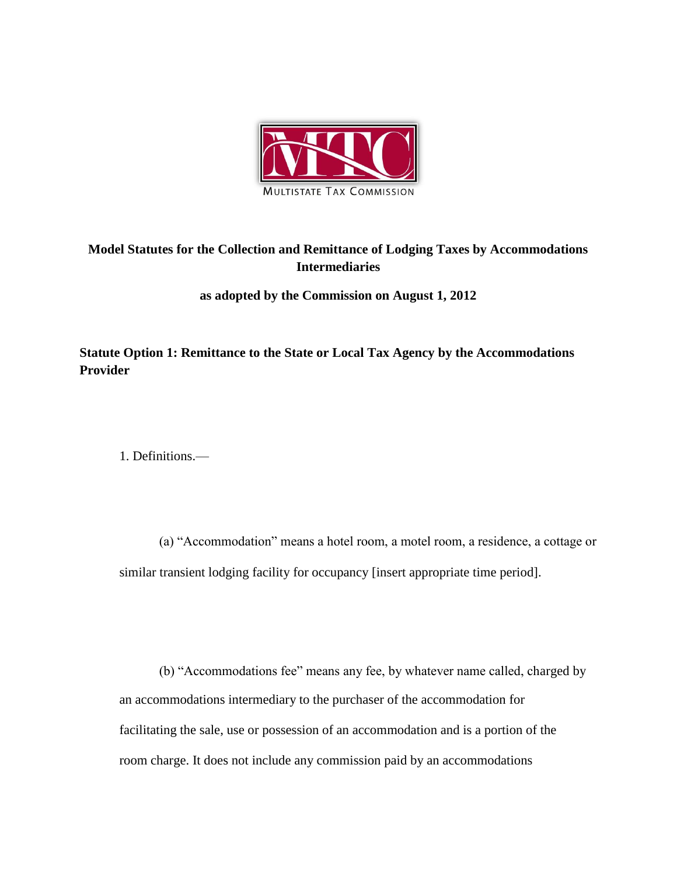

## **Model Statutes for the Collection and Remittance of Lodging Taxes by Accommodations Intermediaries**

**as adopted by the Commission on August 1, 2012**

**Statute Option 1: Remittance to the State or Local Tax Agency by the Accommodations Provider**

1. Definitions.—

(a) "Accommodation" means a hotel room, a motel room, a residence, a cottage or similar transient lodging facility for occupancy [insert appropriate time period].

(b) "Accommodations fee" means any fee, by whatever name called, charged by an accommodations intermediary to the purchaser of the accommodation for facilitating the sale, use or possession of an accommodation and is a portion of the room charge. It does not include any commission paid by an accommodations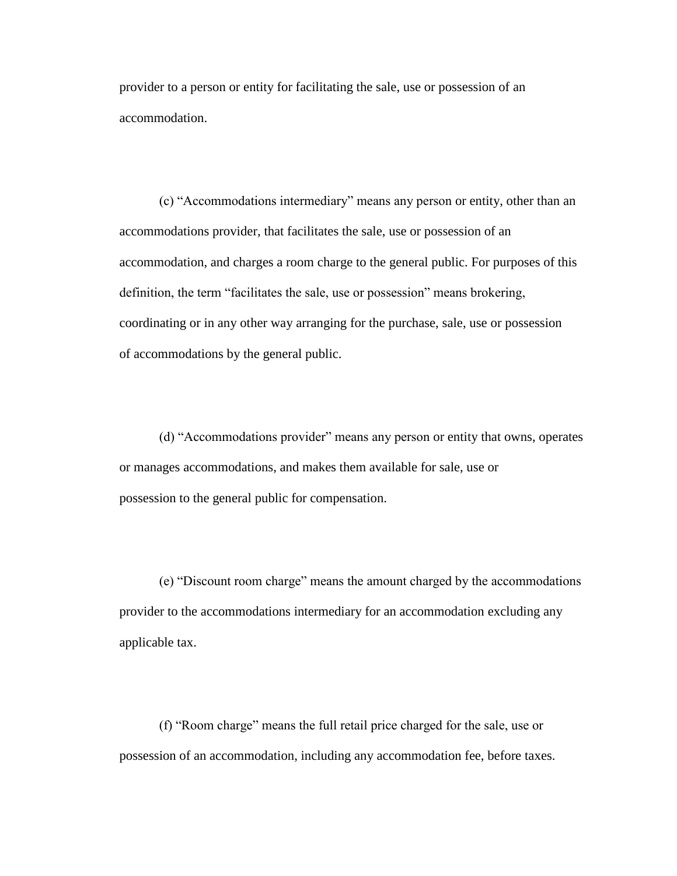provider to a person or entity for facilitating the sale, use or possession of an accommodation.

(c) "Accommodations intermediary" means any person or entity, other than an accommodations provider, that facilitates the sale, use or possession of an accommodation, and charges a room charge to the general public. For purposes of this definition, the term "facilitates the sale, use or possession" means brokering, coordinating or in any other way arranging for the purchase, sale, use or possession of accommodations by the general public.

(d) "Accommodations provider" means any person or entity that owns, operates or manages accommodations, and makes them available for sale, use or possession to the general public for compensation.

(e) "Discount room charge" means the amount charged by the accommodations provider to the accommodations intermediary for an accommodation excluding any applicable tax.

(f) "Room charge" means the full retail price charged for the sale, use or possession of an accommodation, including any accommodation fee, before taxes.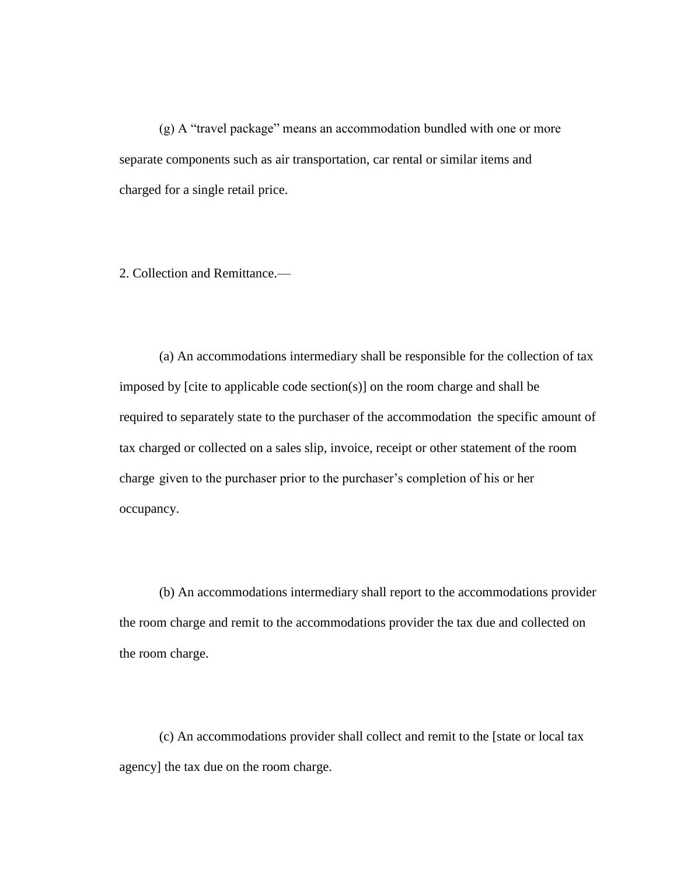(g) A "travel package" means an accommodation bundled with one or more separate components such as air transportation, car rental or similar items and charged for a single retail price.

2. Collection and Remittance.—

(a) An accommodations intermediary shall be responsible for the collection of tax imposed by [cite to applicable code section(s)] on the room charge and shall be required to separately state to the purchaser of the accommodation the specific amount of tax charged or collected on a sales slip, invoice, receipt or other statement of the room charge given to the purchaser prior to the purchaser's completion of his or her occupancy.

(b) An accommodations intermediary shall report to the accommodations provider the room charge and remit to the accommodations provider the tax due and collected on the room charge.

(c) An accommodations provider shall collect and remit to the [state or local tax agency] the tax due on the room charge.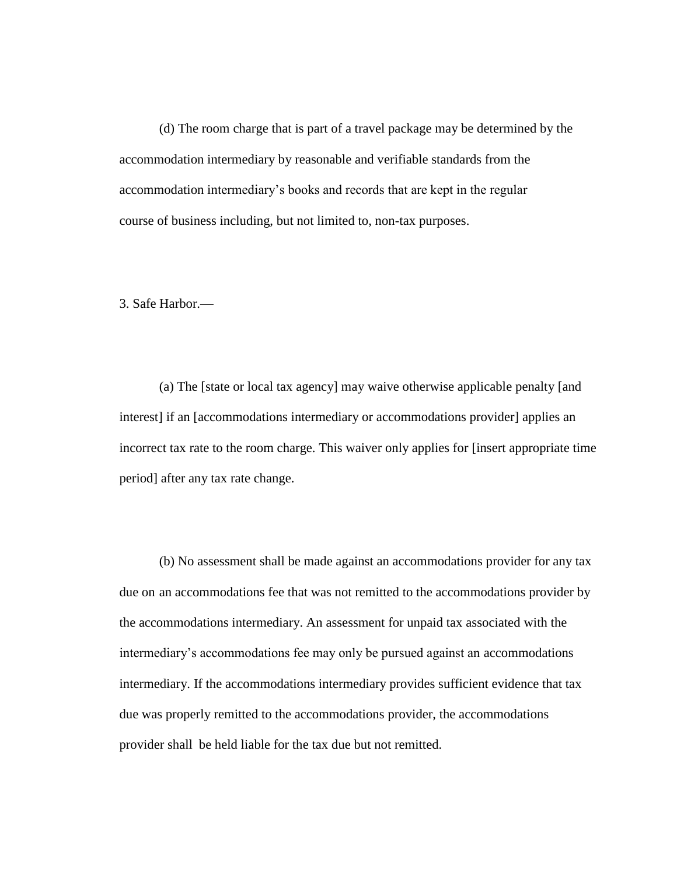(d) The room charge that is part of a travel package may be determined by the accommodation intermediary by reasonable and verifiable standards from the accommodation intermediary's books and records that are kept in the regular course of business including, but not limited to, non-tax purposes.

3. Safe Harbor.—

(a) The [state or local tax agency] may waive otherwise applicable penalty [and interest] if an [accommodations intermediary or accommodations provider] applies an incorrect tax rate to the room charge. This waiver only applies for [insert appropriate time period] after any tax rate change.

(b) No assessment shall be made against an accommodations provider for any tax due on an accommodations fee that was not remitted to the accommodations provider by the accommodations intermediary. An assessment for unpaid tax associated with the intermediary's accommodations fee may only be pursued against an accommodations intermediary. If the accommodations intermediary provides sufficient evidence that tax due was properly remitted to the accommodations provider, the accommodations provider shall be held liable for the tax due but not remitted.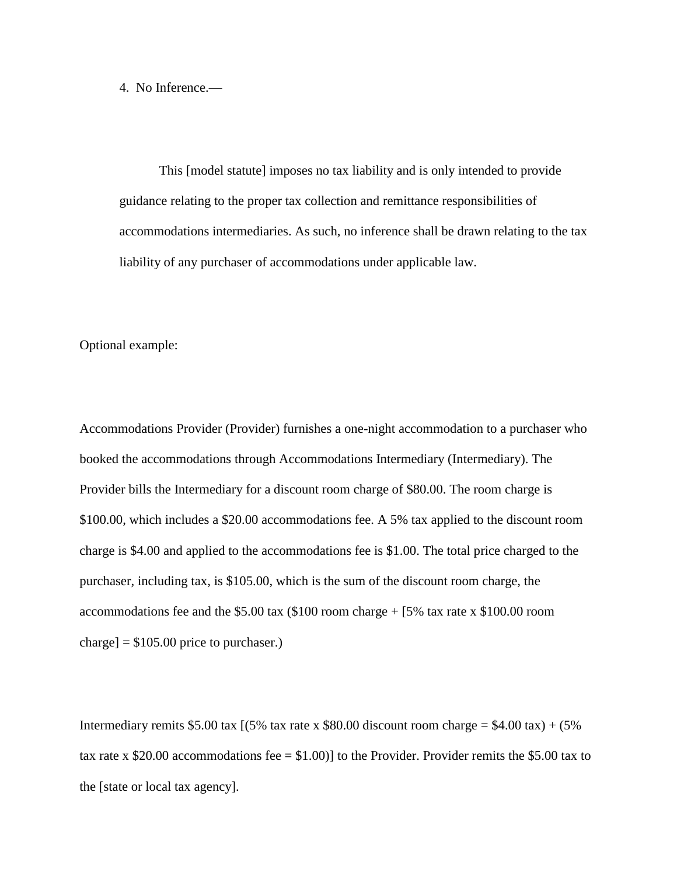4. No Inference.—

This [model statute] imposes no tax liability and is only intended to provide guidance relating to the proper tax collection and remittance responsibilities of accommodations intermediaries. As such, no inference shall be drawn relating to the tax liability of any purchaser of accommodations under applicable law.

Optional example:

Accommodations Provider (Provider) furnishes a one-night accommodation to a purchaser who booked the accommodations through Accommodations Intermediary (Intermediary). The Provider bills the Intermediary for a discount room charge of \$80.00. The room charge is \$100.00, which includes a \$20.00 accommodations fee. A 5% tax applied to the discount room charge is \$4.00 and applied to the accommodations fee is \$1.00. The total price charged to the purchaser, including tax, is \$105.00, which is the sum of the discount room charge, the accommodations fee and the \$5.00 tax (\$100 room charge + [5% tax rate x \$100.00 room charge]  $= $105.00$  price to purchaser.)

Intermediary remits \$5.00 tax  $(5\%$  tax rate x \$80.00 discount room charge = \$4.00 tax) + (5% tax rate x \$20.00 accommodations fee  $=$  \$1.00)] to the Provider. Provider remits the \$5.00 tax to the [state or local tax agency].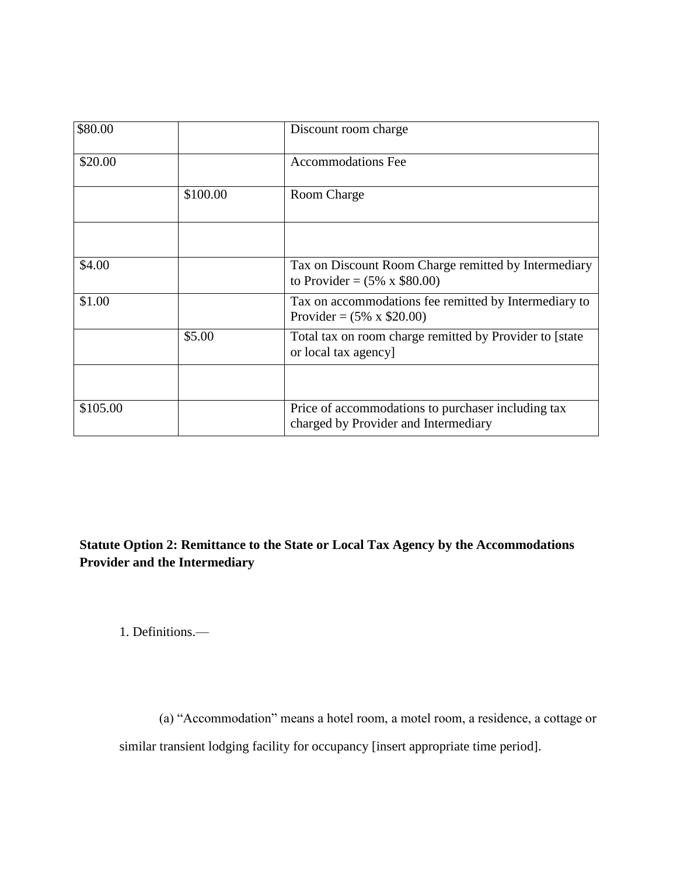| \$80.00  |          | Discount room charge                                                                        |
|----------|----------|---------------------------------------------------------------------------------------------|
| \$20.00  |          | <b>Accommodations Fee</b>                                                                   |
|          | \$100.00 | Room Charge                                                                                 |
|          |          |                                                                                             |
| \$4.00   |          | Tax on Discount Room Charge remitted by Intermediary<br>to Provider = $(5\% \times $80.00)$ |
| \$1.00   |          | Tax on accommodations fee remitted by Intermediary to<br>Provider = $(5\% \times $20.00)$   |
|          | \$5.00   | Total tax on room charge remitted by Provider to [state<br>or local tax agency]             |
|          |          |                                                                                             |
| \$105.00 |          | Price of accommodations to purchaser including tax<br>charged by Provider and Intermediary  |

**Statute Option 2: Remittance to the State or Local Tax Agency by the Accommodations Provider and the Intermediary**

1. Definitions.—

(a) "Accommodation" means a hotel room, a motel room, a residence, a cottage or similar transient lodging facility for occupancy [insert appropriate time period].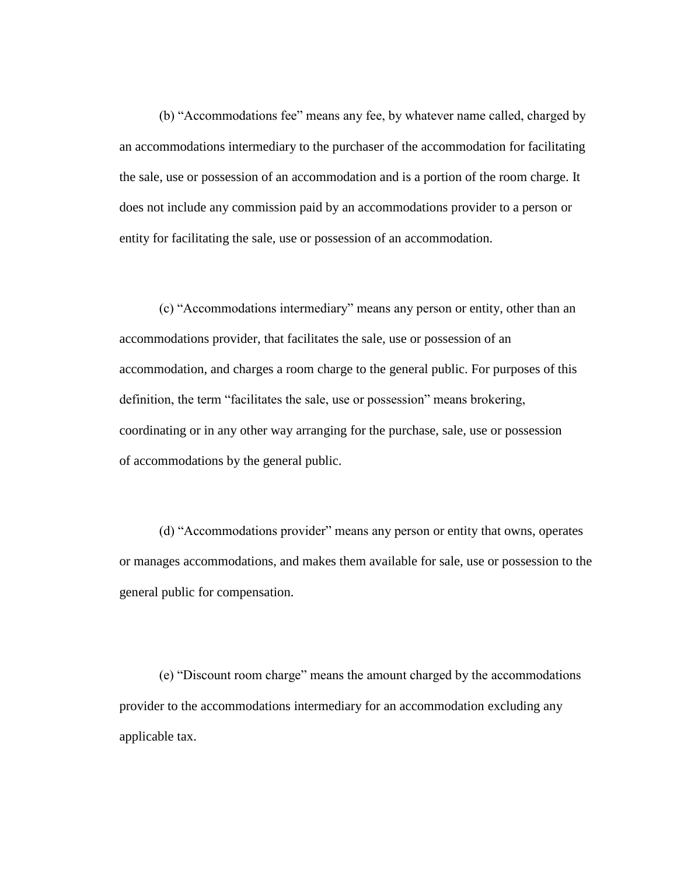(b) "Accommodations fee" means any fee, by whatever name called, charged by an accommodations intermediary to the purchaser of the accommodation for facilitating the sale, use or possession of an accommodation and is a portion of the room charge. It does not include any commission paid by an accommodations provider to a person or entity for facilitating the sale, use or possession of an accommodation.

(c) "Accommodations intermediary" means any person or entity, other than an accommodations provider, that facilitates the sale, use or possession of an accommodation, and charges a room charge to the general public. For purposes of this definition, the term "facilitates the sale, use or possession" means brokering, coordinating or in any other way arranging for the purchase, sale, use or possession of accommodations by the general public.

(d) "Accommodations provider" means any person or entity that owns, operates or manages accommodations, and makes them available for sale, use or possession to the general public for compensation.

(e) "Discount room charge" means the amount charged by the accommodations provider to the accommodations intermediary for an accommodation excluding any applicable tax.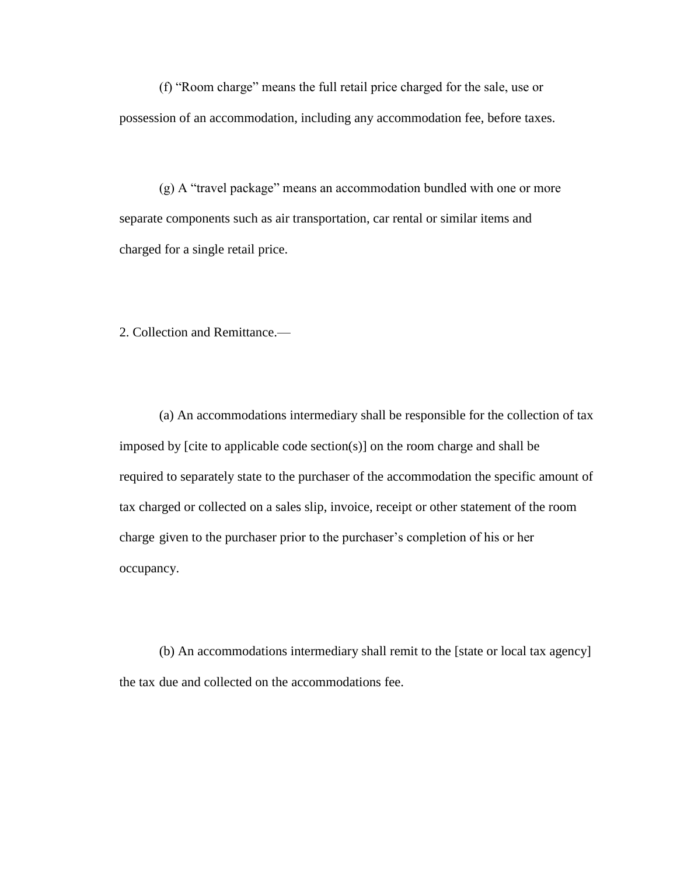(f) "Room charge" means the full retail price charged for the sale, use or possession of an accommodation, including any accommodation fee, before taxes.

(g) A "travel package" means an accommodation bundled with one or more separate components such as air transportation, car rental or similar items and charged for a single retail price.

2. Collection and Remittance.—

(a) An accommodations intermediary shall be responsible for the collection of tax imposed by [cite to applicable code section(s)] on the room charge and shall be required to separately state to the purchaser of the accommodation the specific amount of tax charged or collected on a sales slip, invoice, receipt or other statement of the room charge given to the purchaser prior to the purchaser's completion of his or her occupancy.

(b) An accommodations intermediary shall remit to the [state or local tax agency] the tax due and collected on the accommodations fee.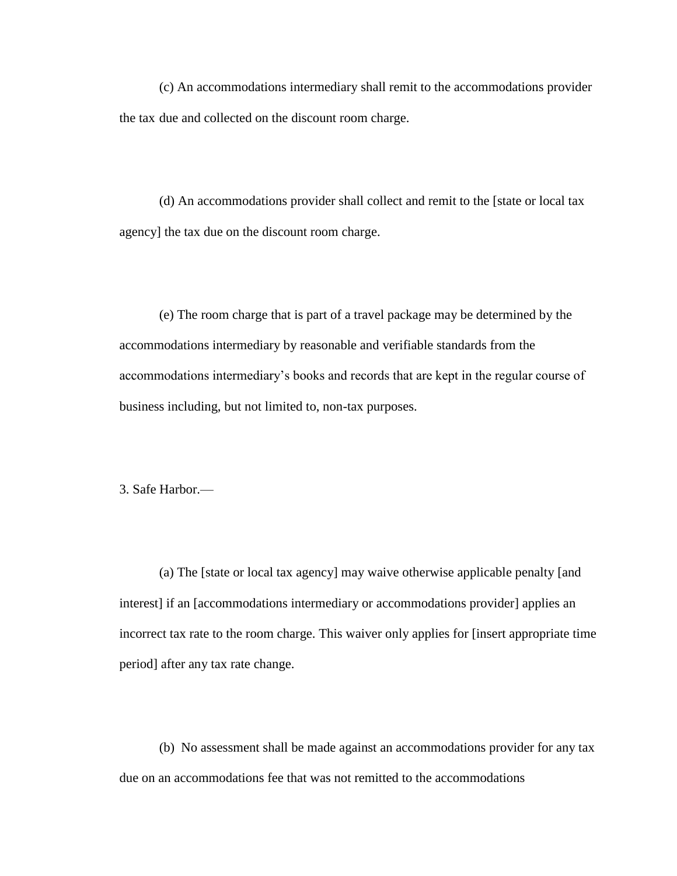(c) An accommodations intermediary shall remit to the accommodations provider the tax due and collected on the discount room charge.

(d) An accommodations provider shall collect and remit to the [state or local tax agency] the tax due on the discount room charge.

(e) The room charge that is part of a travel package may be determined by the accommodations intermediary by reasonable and verifiable standards from the accommodations intermediary's books and records that are kept in the regular course of business including, but not limited to, non-tax purposes.

3. Safe Harbor.—

(a) The [state or local tax agency] may waive otherwise applicable penalty [and interest] if an [accommodations intermediary or accommodations provider] applies an incorrect tax rate to the room charge. This waiver only applies for [insert appropriate time period] after any tax rate change.

(b) No assessment shall be made against an accommodations provider for any tax due on an accommodations fee that was not remitted to the accommodations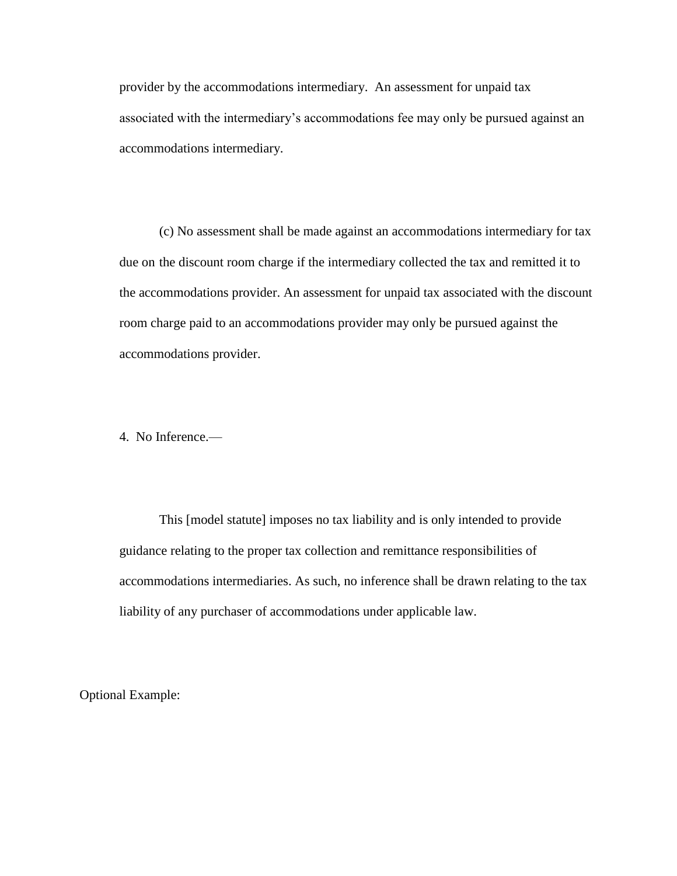provider by the accommodations intermediary. An assessment for unpaid tax associated with the intermediary's accommodations fee may only be pursued against an accommodations intermediary.

(c) No assessment shall be made against an accommodations intermediary for tax due on the discount room charge if the intermediary collected the tax and remitted it to the accommodations provider. An assessment for unpaid tax associated with the discount room charge paid to an accommodations provider may only be pursued against the accommodations provider.

4. No Inference.—

This [model statute] imposes no tax liability and is only intended to provide guidance relating to the proper tax collection and remittance responsibilities of accommodations intermediaries. As such, no inference shall be drawn relating to the tax liability of any purchaser of accommodations under applicable law.

Optional Example: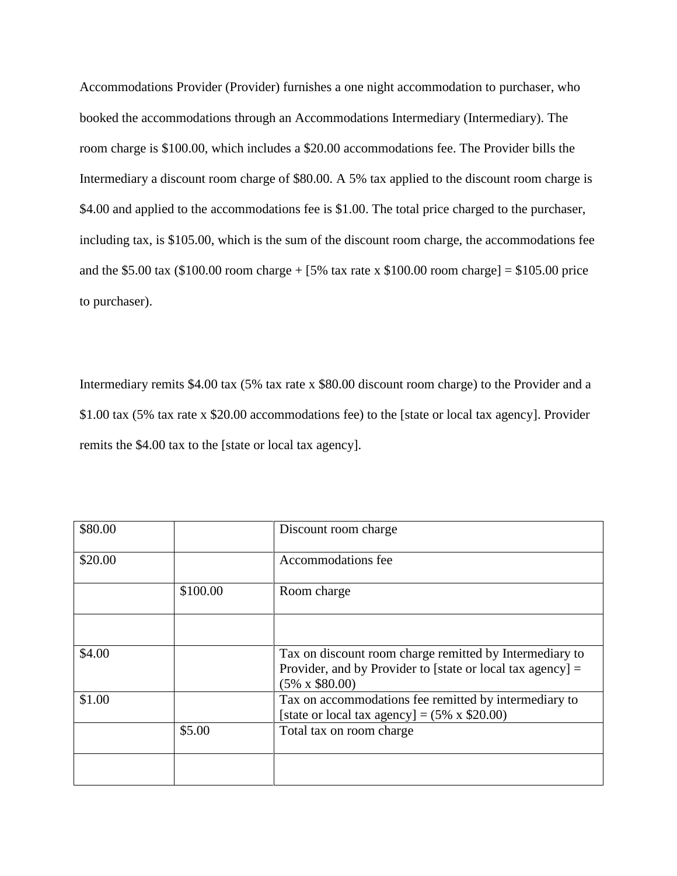Accommodations Provider (Provider) furnishes a one night accommodation to purchaser, who booked the accommodations through an Accommodations Intermediary (Intermediary). The room charge is \$100.00, which includes a \$20.00 accommodations fee. The Provider bills the Intermediary a discount room charge of \$80.00. A 5% tax applied to the discount room charge is \$4.00 and applied to the accommodations fee is \$1.00. The total price charged to the purchaser, including tax, is \$105.00, which is the sum of the discount room charge, the accommodations fee and the \$5.00 tax (\$100.00 room charge +  $[5\%$  tax rate x \$100.00 room charge] = \$105.00 price to purchaser).

Intermediary remits \$4.00 tax (5% tax rate x \$80.00 discount room charge) to the Provider and a \$1.00 tax (5% tax rate x \$20.00 accommodations fee) to the [state or local tax agency]. Provider remits the \$4.00 tax to the [state or local tax agency].

| \$80.00 |          | Discount room charge                                                                                                                             |
|---------|----------|--------------------------------------------------------------------------------------------------------------------------------------------------|
| \$20.00 |          | Accommodations fee                                                                                                                               |
|         | \$100.00 | Room charge                                                                                                                                      |
|         |          |                                                                                                                                                  |
| \$4.00  |          | Tax on discount room charge remitted by Intermediary to<br>Provider, and by Provider to [state or local tax agency] $=$<br>$(5\% \times $80.00)$ |
| \$1.00  |          | Tax on accommodations fee remitted by intermediary to<br>[state or local tax agency] = $(5\% \times $20.00)$                                     |
|         | \$5.00   | Total tax on room charge                                                                                                                         |
|         |          |                                                                                                                                                  |